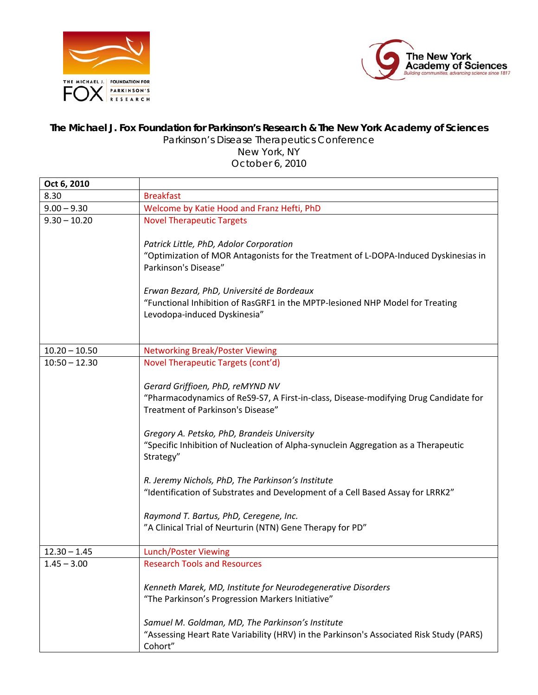



## **The Michael J. Fox Foundation for Parkinson's Research & The New York Academy of Sciences**

Parkinson's Disease Therapeutics Conference

New York, NY October 6, 2010

| <b>Breakfast</b><br>Welcome by Katie Hood and Franz Hefti, PhD                                                                                                                                                                                                                                                                                                                                                                                                                                                                                                                                      |
|-----------------------------------------------------------------------------------------------------------------------------------------------------------------------------------------------------------------------------------------------------------------------------------------------------------------------------------------------------------------------------------------------------------------------------------------------------------------------------------------------------------------------------------------------------------------------------------------------------|
|                                                                                                                                                                                                                                                                                                                                                                                                                                                                                                                                                                                                     |
|                                                                                                                                                                                                                                                                                                                                                                                                                                                                                                                                                                                                     |
| <b>Novel Therapeutic Targets</b><br>Patrick Little, PhD, Adolor Corporation<br>"Optimization of MOR Antagonists for the Treatment of L-DOPA-Induced Dyskinesias in<br>Parkinson's Disease"                                                                                                                                                                                                                                                                                                                                                                                                          |
| Erwan Bezard, PhD, Université de Bordeaux<br>"Functional Inhibition of RasGRF1 in the MPTP-lesioned NHP Model for Treating<br>Levodopa-induced Dyskinesia"                                                                                                                                                                                                                                                                                                                                                                                                                                          |
| <b>Networking Break/Poster Viewing</b>                                                                                                                                                                                                                                                                                                                                                                                                                                                                                                                                                              |
| Novel Therapeutic Targets (cont'd)<br>Gerard Griffioen, PhD, reMYND NV<br>"Pharmacodynamics of ReS9-S7, A First-in-class, Disease-modifying Drug Candidate for<br>Treatment of Parkinson's Disease"<br>Gregory A. Petsko, PhD, Brandeis University<br>"Specific Inhibition of Nucleation of Alpha-synuclein Aggregation as a Therapeutic<br>Strategy"<br>R. Jeremy Nichols, PhD, The Parkinson's Institute<br>"Identification of Substrates and Development of a Cell Based Assay for LRRK2"<br>Raymond T. Bartus, PhD, Ceregene, Inc.<br>"A Clinical Trial of Neurturin (NTN) Gene Therapy for PD" |
| Lunch/Poster Viewing                                                                                                                                                                                                                                                                                                                                                                                                                                                                                                                                                                                |
| <b>Research Tools and Resources</b><br>Kenneth Marek, MD, Institute for Neurodegenerative Disorders<br>"The Parkinson's Progression Markers Initiative"<br>Samuel M. Goldman, MD, The Parkinson's Institute<br>"Assessing Heart Rate Variability (HRV) in the Parkinson's Associated Risk Study (PARS)<br>Cohort"                                                                                                                                                                                                                                                                                   |
|                                                                                                                                                                                                                                                                                                                                                                                                                                                                                                                                                                                                     |